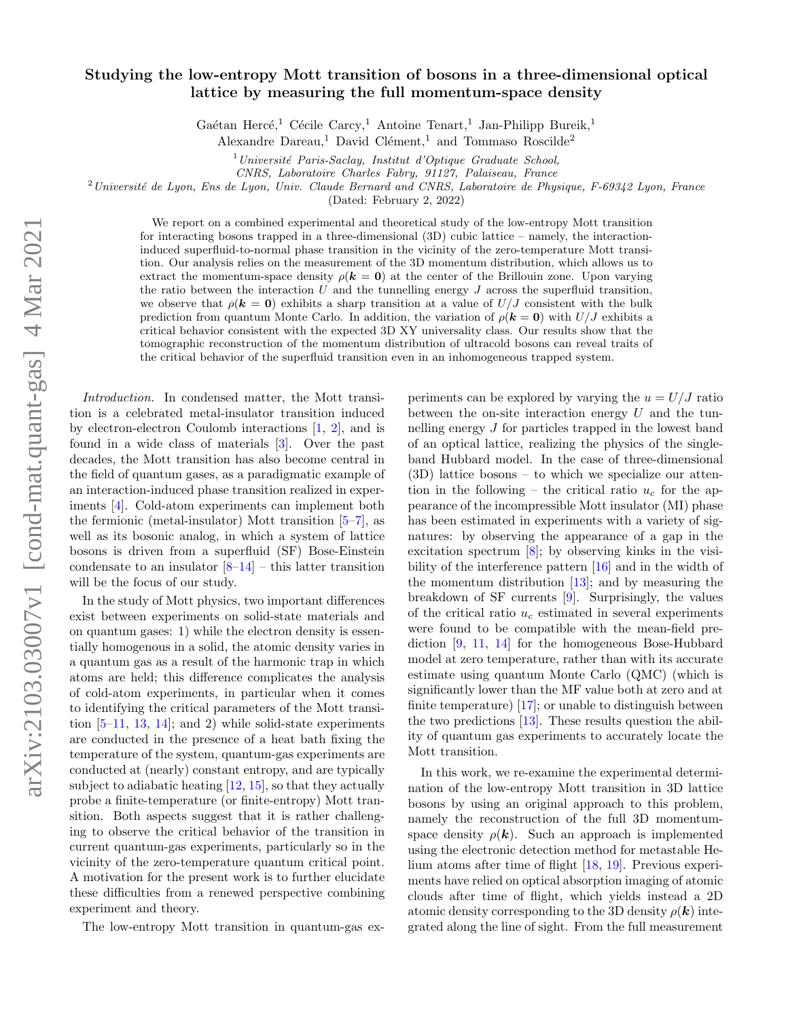## Studying the low-entropy Mott transition of bosons in a three-dimensional optical lattice by measuring the full momentum-space density

Gaétan Hercé,<sup>1</sup> Cécile Carcy,<sup>1</sup> Antoine Tenart,<sup>1</sup> Jan-Philipp Bureik,<sup>1</sup>

Alexandre Dareau,<sup>1</sup> David Clément,<sup>1</sup> and Tommaso Roscilde<sup>2</sup>

 $1$ Université Paris-Saclay, Institut d'Optique Graduate School,

CNRS, Laboratoire Charles Fabry, 91127, Palaiseau, France

<sup>2</sup> Université de Lyon, Ens de Lyon, Univ. Claude Bernard and CNRS, Laboratoire de Physique, F-69342 Lyon, France

(Dated: February 2, 2022)

We report on a combined experimental and theoretical study of the low-entropy Mott transition for interacting bosons trapped in a three-dimensional (3D) cubic lattice – namely, the interactioninduced superfluid-to-normal phase transition in the vicinity of the zero-temperature Mott transition. Our analysis relies on the measurement of the 3D momentum distribution, which allows us to extract the momentum-space density  $\rho(\mathbf{k} = \mathbf{0})$  at the center of the Brillouin zone. Upon varying the ratio between the interaction  $U$  and the tunnelling energy  $J$  across the superfluid transition, we observe that  $\rho(\mathbf{k} = \mathbf{0})$  exhibits a sharp transition at a value of  $U/J$  consistent with the bulk prediction from quantum Monte Carlo. In addition, the variation of  $\rho(\mathbf{k} = \mathbf{0})$  with  $U/J$  exhibits a critical behavior consistent with the expected 3D XY universality class. Our results show that the tomographic reconstruction of the momentum distribution of ultracold bosons can reveal traits of the critical behavior of the superfluid transition even in an inhomogeneous trapped system.

Introduction. In condensed matter, the Mott transition is a celebrated metal-insulator transition induced by electron-electron Coulomb interactions [\[1,](#page-4-0) [2\]](#page-4-1), and is found in a wide class of materials [\[3\]](#page-4-2). Over the past decades, the Mott transition has also become central in the field of quantum gases, as a paradigmatic example of an interaction-induced phase transition realized in experiments [\[4\]](#page-4-3). Cold-atom experiments can implement both the fermionic (metal-insulator) Mott transition [\[5–](#page-4-4)[7\]](#page-4-5), as well as its bosonic analog, in which a system of lattice bosons is driven from a superfluid (SF) Bose-Einstein condensate to an insulator  $[8-14]$  $[8-14]$  – this latter transition will be the focus of our study.

In the study of Mott physics, two important differences exist between experiments on solid-state materials and on quantum gases: 1) while the electron density is essentially homogenous in a solid, the atomic density varies in a quantum gas as a result of the harmonic trap in which atoms are held; this difference complicates the analysis of cold-atom experiments, in particular when it comes to identifying the critical parameters of the Mott transition  $[5-11, 13, 14]$  $[5-11, 13, 14]$  $[5-11, 13, 14]$  $[5-11, 13, 14]$  $[5-11, 13, 14]$  $[5-11, 13, 14]$ ; and 2) while solid-state experiments are conducted in the presence of a heat bath fixing the temperature of the system, quantum-gas experiments are conducted at (nearly) constant entropy, and are typically subject to adiabatic heating [\[12,](#page-4-10) [15\]](#page-4-11), so that they actually probe a finite-temperature (or finite-entropy) Mott transition. Both aspects suggest that it is rather challenging to observe the critical behavior of the transition in current quantum-gas experiments, particularly so in the vicinity of the zero-temperature quantum critical point. A motivation for the present work is to further elucidate these difficulties from a renewed perspective combining experiment and theory.

The low-entropy Mott transition in quantum-gas ex-

periments can be explored by varying the  $u = U/J$  ratio between the on-site interaction energy  $U$  and the tunnelling energy J for particles trapped in the lowest band of an optical lattice, realizing the physics of the singleband Hubbard model. In the case of three-dimensional (3D) lattice bosons – to which we specialize our attention in the following – the critical ratio  $u_c$  for the appearance of the incompressible Mott insulator (MI) phase has been estimated in experiments with a variety of signatures: by observing the appearance of a gap in the excitation spectrum [\[8\]](#page-4-6); by observing kinks in the visibility of the interference pattern [\[16\]](#page-4-12) and in the width of the momentum distribution  $[13]$ ; and by measuring the breakdown of SF currents [\[9\]](#page-4-13). Surprisingly, the values of the critical ratio  $u_c$  estimated in several experiments were found to be compatible with the mean-field prediction [\[9,](#page-4-13) [11,](#page-4-8) [14\]](#page-4-7) for the homogeneous Bose-Hubbard model at zero temperature, rather than with its accurate estimate using quantum Monte Carlo (QMC) (which is significantly lower than the MF value both at zero and at finite temperature) [\[17\]](#page-4-14); or unable to distinguish between the two predictions [\[13\]](#page-4-9). These results question the ability of quantum gas experiments to accurately locate the Mott transition.

In this work, we re-examine the experimental determination of the low-entropy Mott transition in 3D lattice bosons by using an original approach to this problem, namely the reconstruction of the full 3D momentumspace density  $\rho(\mathbf{k})$ . Such an approach is implemented using the electronic detection method for metastable Helium atoms after time of flight [\[18,](#page-4-15) [19\]](#page-4-16). Previous experiments have relied on optical absorption imaging of atomic clouds after time of flight, which yields instead a 2D atomic density corresponding to the 3D density  $\rho(\mathbf{k})$  integrated along the line of sight. From the full measurement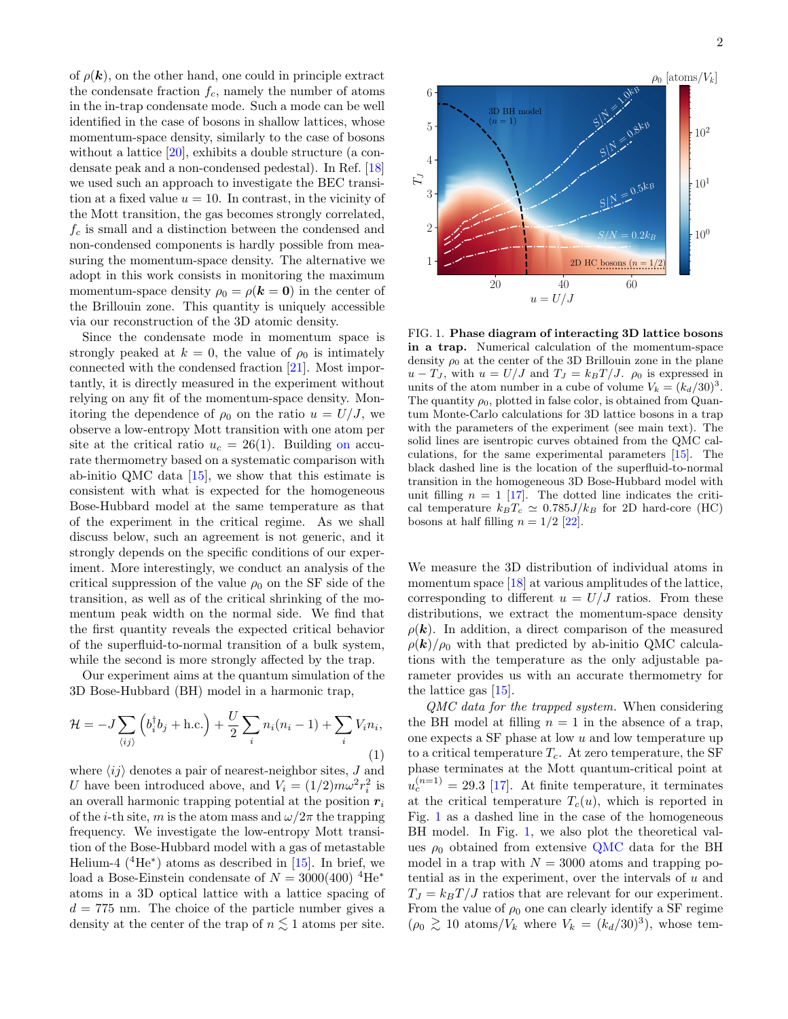of  $\rho(\mathbf{k})$ , on the other hand, one could in principle extract the condensate fraction  $f_c$ , namely the number of atoms in the in-trap condensate mode. Such a mode can be well identified in the case of bosons in shallow lattices, whose momentum-space density, similarly to the case of bosons without a lattice [\[20\]](#page-4-17), exhibits a double structure (a condensate peak and a non-condensed pedestal). In Ref. [\[18\]](#page-4-15) we used such an approach to investigate the BEC transition at a fixed value  $u = 10$ . In contrast, in the vicinity of the Mott transition, the gas becomes strongly correlated,  $f_c$  is small and a distinction between the condensed and non-condensed components is hardly possible from measuring the momentum-space density. The alternative we adopt in this work consists in monitoring the maximum momentum-space density  $\rho_0 = \rho(\mathbf{k} = \mathbf{0})$  in the center of the Brillouin zone. This quantity is uniquely accessible via our reconstruction of the 3D atomic density.

Since the condensate mode in momentum space is strongly peaked at  $k = 0$ , the value of  $\rho_0$  is intimately connected with the condensed fraction [\[21\]](#page-4-18). Most importantly, it is directly measured in the experiment without relying on any fit of the momentum-space density. Monitoring the dependence of  $\rho_0$  on the ratio  $u = U/J$ , we observe a low-entropy Mott transition with one atom per site at the critical ratio  $u_c = 26(1)$ . Building on accurate thermometry based on a systematic comparison with ab-initio QMC data [\[15\]](#page-4-11), we show that this estimate is consistent with what is expected for the homogeneous Bose-Hubbard model at the same temperature as that of the experiment in the critical regime. As we shall discuss below, such an agreement is not generic, and it strongly depends on the specific conditions of our experiment. More interestingly, we conduct an analysis of the critical suppression of the value  $\rho_0$  on the SF side of the transition, as well as of the critical shrinking of the momentum peak width on the normal side. We find that the first quantity reveals the expected critical behavior of the superfluid-to-normal transition of a bulk system, while the second is more strongly affected by the trap.

Our experiment aims at the quantum simulation of the 3D Bose-Hubbard (BH) model in a harmonic trap,

$$
\mathcal{H} = -J \sum_{\langle ij \rangle} \left( b_i^{\dagger} b_j + \text{h.c.} \right) + \frac{U}{2} \sum_i n_i (n_i - 1) + \sum_i V_i n_i,
$$
\n(1)

where  $\langle ij \rangle$  denotes a pair of nearest-neighbor sites, J and U have been introduced above, and  $V_i = (1/2) m \omega^2 r_i^2$  is an overall harmonic trapping potential at the position  $r_i$ of the *i*-th site, m is the atom mass and  $\omega/2\pi$  the trapping frequency. We investigate the low-entropy Mott transition of the Bose-Hubbard model with a gas of metastable Helium-4  $(^{4}He^{*})$  atoms as described in [\[15\]](#page-4-11). In brief, we load a Bose-Einstein condensate of  $N = 3000(400)^4$ He<sup>\*</sup> atoms in a 3D optical lattice with a lattice spacing of  $d = 775$  nm. The choice of the particle number gives a density at the center of the trap of  $n \leq 1$  atoms per site.



<span id="page-1-0"></span>FIG. 1. Phase diagram of interacting 3D lattice bosons in a trap. Numerical calculation of the momentum-space density  $\rho_0$  at the center of the 3D Brillouin zone in the plane  $u - T_J$ , with  $u = U/J$  and  $T_J = k_B T/J$ .  $\rho_0$  is expressed in units of the atom number in a cube of volume  $V_k = (k_d/30)^3$ . The quantity  $\rho_0$ , plotted in false color, is obtained from Quantum Monte-Carlo calculations for 3D lattice bosons in a trap with the parameters of the experiment (see main text). The solid lines are isentropic curves obtained from the QMC calculations, for the same experimental parameters [\[15\]](#page-4-11). The black dashed line is the location of the superfluid-to-normal transition in the homogeneous 3D Bose-Hubbard model with unit filling  $n = 1$  [\[17\]](#page-4-14). The dotted line indicates the critical temperature  $k_BT_c \simeq 0.785J/k_B$  for 2D hard-core (HC) bosons at half filling  $n = 1/2$  [\[22\]](#page-4-19).

We measure the 3D distribution of individual atoms in momentum space [\[18\]](#page-4-15) at various amplitudes of the lattice, corresponding to different  $u = U/J$  ratios. From these distributions, we extract the momentum-space density  $\rho(\mathbf{k})$ . In addition, a direct comparison of the measured  $\rho(\mathbf{k})/\rho_0$  with that predicted by ab-initio QMC calculations with the temperature as the only adjustable parameter provides us with an accurate thermometry for the lattice gas [\[15\]](#page-4-11).

QMC data for the trapped system. When considering the BH model at filling  $n = 1$  in the absence of a trap, one expects a  $SF$  phase at low  $u$  and low temperature up to a critical temperature  $T_c$ . At zero temperature, the SF phase terminates at the Mott quantum-critical point at  $u_c^{(n=1)} = 29.3$  [\[17\]](#page-4-14). At finite temperature, it terminates at the critical temperature  $T_c(u)$ , which is reported in Fig. [1](#page-1-0) as a dashed line in the case of the homogeneous BH model. In Fig. [1,](#page-1-0) we also plot the theoretical values  $\rho_0$  obtained from extensive QMC data for the BH model in a trap with  $N = 3000$  atoms and trapping potential as in the experiment, over the intervals of  $u$  and  $T_J = k_B T / J$  ratios that are relevant for our experiment. From the value of  $\rho_0$  one can clearly identify a SF regime  $(\rho_0 \gtrsim 10 \text{ atoms}/V_k \text{ where } V_k = (k_d/30)^3)$ , whose tem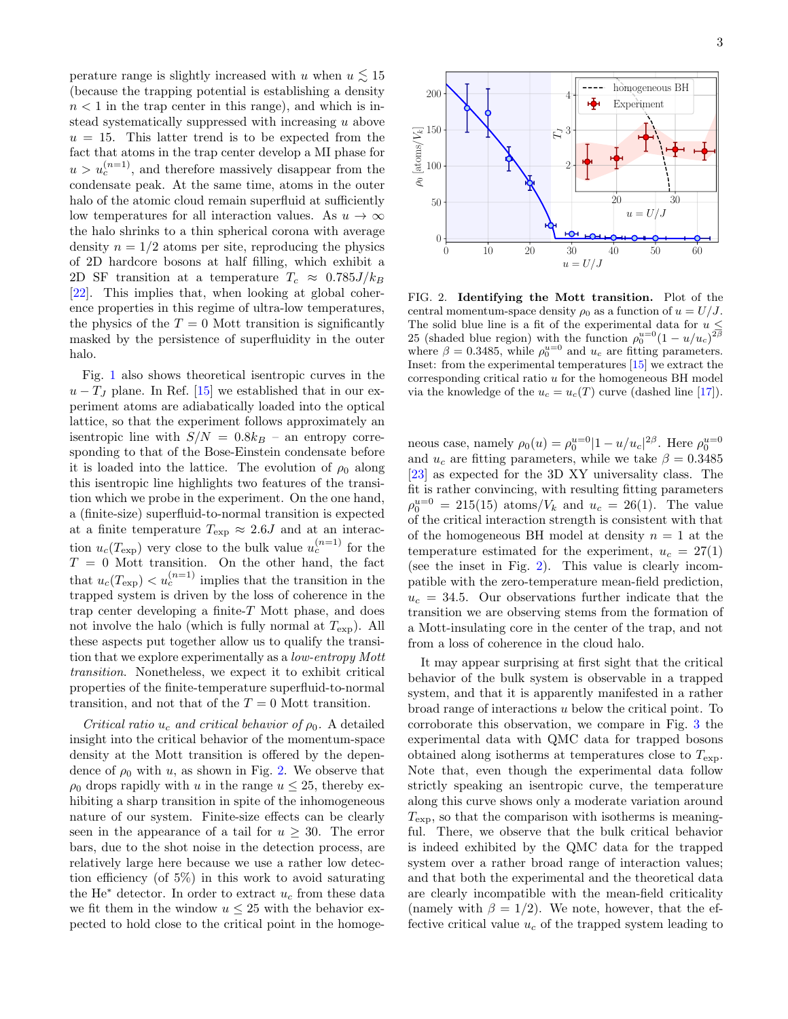perature range is slightly increased with u when  $u \lesssim 15$ (because the trapping potential is establishing a density  $n < 1$  in the trap center in this range), and which is instead systematically suppressed with increasing u above  $u = 15$ . This latter trend is to be expected from the fact that atoms in the trap center develop a MI phase for  $u > u_c^{(n=1)}$ , and therefore massively disappear from the condensate peak. At the same time, atoms in the outer halo of the atomic cloud remain superfluid at sufficiently low temperatures for all interaction values. As  $u \to \infty$ the halo shrinks to a thin spherical corona with average density  $n = 1/2$  atoms per site, reproducing the physics of 2D hardcore bosons at half filling, which exhibit a 2D SF transition at a temperature  $T_c \approx 0.785 J/k_B$ [\[22\]](#page-4-19). This implies that, when looking at global coherence properties in this regime of ultra-low temperatures, the physics of the  $T = 0$  Mott transition is significantly masked by the persistence of superfluidity in the outer halo.

Fig. [1](#page-1-0) also shows theoretical isentropic curves in the  $u - T_J$  plane. In Ref. [\[15\]](#page-4-11) we established that in our experiment atoms are adiabatically loaded into the optical lattice, so that the experiment follows approximately an isentropic line with  $S/N = 0.8k_B$  – an entropy corresponding to that of the Bose-Einstein condensate before it is loaded into the lattice. The evolution of  $\rho_0$  along this isentropic line highlights two features of the transition which we probe in the experiment. On the one hand, a (finite-size) superfluid-to-normal transition is expected at a finite temperature  $T_{\rm exp} \approx 2.6J$  and at an interaction  $u_c(T_{\text{exp}})$  very close to the bulk value  $u_c^{(n=1)}$  for the  $T = 0$  Mott transition. On the other hand, the fact that  $u_c(T_{\text{exp}}) < u_c^{(n=1)}$  implies that the transition in the trapped system is driven by the loss of coherence in the trap center developing a finite- $T$  Mott phase, and does not involve the halo (which is fully normal at  $T_{\rm exp}$ ). All these aspects put together allow us to qualify the transition that we explore experimentally as a low-entropy Mott transition. Nonetheless, we expect it to exhibit critical properties of the finite-temperature superfluid-to-normal transition, and not that of the  $T = 0$  Mott transition.

Critical ratio  $u_c$  and critical behavior of  $\rho_0$ . A detailed insight into the critical behavior of the momentum-space density at the Mott transition is offered by the dependence of  $\rho_0$  with u, as shown in Fig. [2.](#page-2-0) We observe that  $\rho_0$  drops rapidly with u in the range  $u \leq 25$ , thereby exhibiting a sharp transition in spite of the inhomogeneous nature of our system. Finite-size effects can be clearly seen in the appearance of a tail for  $u \geq 30$ . The error bars, due to the shot noise in the detection process, are relatively large here because we use a rather low detection efficiency (of 5%) in this work to avoid saturating the He<sup> $*$ </sup> detector. In order to extract  $u_c$  from these data we fit them in the window  $u \leq 25$  with the behavior expected to hold close to the critical point in the homoge-



<span id="page-2-0"></span>FIG. 2. Identifying the Mott transition. Plot of the central momentum-space density  $\rho_0$  as a function of  $u = U/J$ . The solid blue line is a fit of the experimental data for  $u \leq$ 25 (shaded blue region) with the function  $\rho_0^{u=0} (1 - u/u_c)^{2\beta}$ where  $\beta = 0.3485$ , while  $\rho_0^{u=0}$  and  $u_c$  are fitting parameters. Inset: from the experimental temperatures  $[15]$  we extract the corresponding critical ratio u for the homogeneous BH model via the knowledge of the  $u_c = u_c(T)$  curve (dashed line [\[17\]](#page-4-14)).

neous case, namely  $\rho_0(u) = \rho_0^{u=0} |1 - u/u_c|^{2\beta}$ . Here  $\rho_0^{u=0}$ and  $u_c$  are fitting parameters, while we take  $\beta = 0.3485$ [\[23\]](#page-4-20) as expected for the 3D XY universality class. The fit is rather convincing, with resulting fitting parameters  $\rho_0^{u=0} = 215(15) \text{ atoms}/V_k \text{ and } u_c = 26(1).$  The value of the critical interaction strength is consistent with that of the homogeneous BH model at density  $n = 1$  at the temperature estimated for the experiment,  $u_c = 27(1)$ (see the inset in Fig. [2\)](#page-2-0). This value is clearly incompatible with the zero-temperature mean-field prediction,  $u_c = 34.5$ . Our observations further indicate that the transition we are observing stems from the formation of a Mott-insulating core in the center of the trap, and not from a loss of coherence in the cloud halo.

It may appear surprising at first sight that the critical behavior of the bulk system is observable in a trapped system, and that it is apparently manifested in a rather broad range of interactions u below the critical point. To corroborate this observation, we compare in Fig. [3](#page-3-0) the experimental data with QMC data for trapped bosons obtained along isotherms at temperatures close to  $T_{\text{exp}}$ . Note that, even though the experimental data follow strictly speaking an isentropic curve, the temperature along this curve shows only a moderate variation around  $T_{\rm exp}$ , so that the comparison with isotherms is meaningful. There, we observe that the bulk critical behavior is indeed exhibited by the QMC data for the trapped system over a rather broad range of interaction values; and that both the experimental and the theoretical data are clearly incompatible with the mean-field criticality (namely with  $\beta = 1/2$ ). We note, however, that the effective critical value  $u_c$  of the trapped system leading to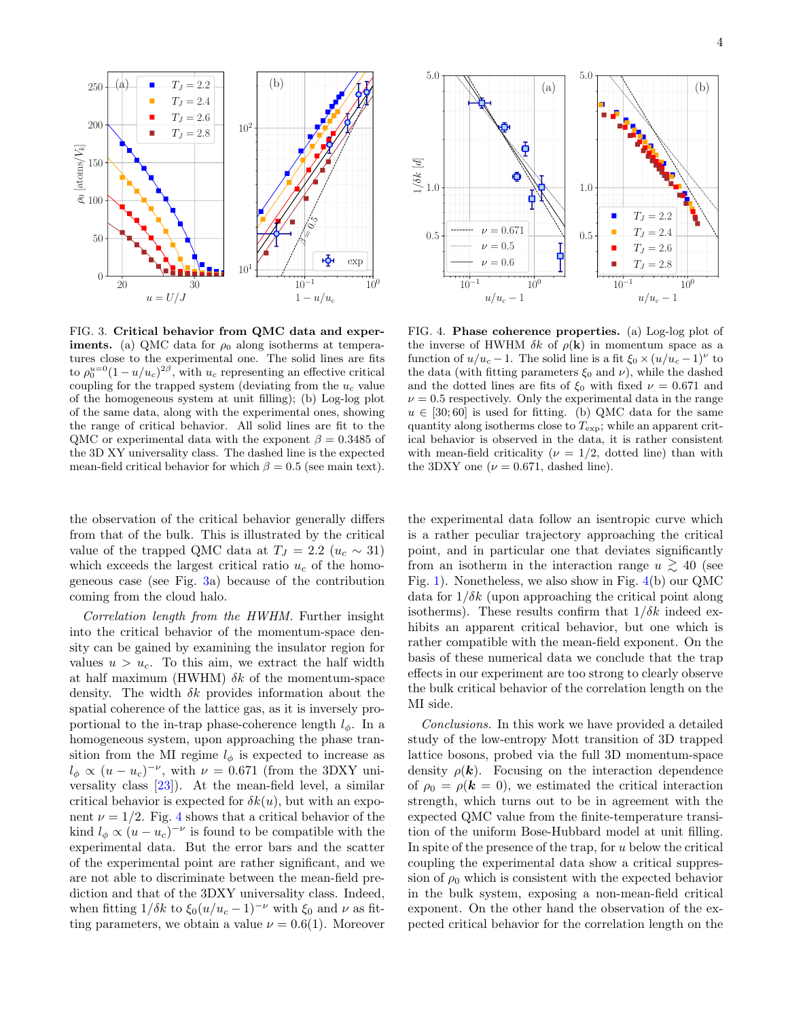

<span id="page-3-0"></span>FIG. 3. Critical behavior from QMC data and exper**iments.** (a) QMC data for  $\rho_0$  along isotherms at temperatures close to the experimental one. The solid lines are fits to  $\rho_0^{u=0} (1 - u/u_c)^{2\beta}$ , with  $u_c$  representing an effective critical coupling for the trapped system (deviating from the  $u_c$  value of the homogeneous system at unit filling); (b) Log-log plot of the same data, along with the experimental ones, showing the range of critical behavior. All solid lines are fit to the QMC or experimental data with the exponent  $\beta = 0.3485$  of the 3D XY universality class. The dashed line is the expected mean-field critical behavior for which  $\beta = 0.5$  (see main text).

the observation of the critical behavior generally differs from that of the bulk. This is illustrated by the critical value of the trapped QMC data at  $T_J = 2.2 \ (u_c \sim 31)$ which exceeds the largest critical ratio  $u_c$  of the homogeneous case (see Fig. [3a](#page-3-0)) because of the contribution coming from the cloud halo.

Correlation length from the HWHM. Further insight into the critical behavior of the momentum-space density can be gained by examining the insulator region for values  $u > u_c$ . To this aim, we extract the half width at half maximum (HWHM)  $\delta k$  of the momentum-space density. The width  $\delta k$  provides information about the spatial coherence of the lattice gas, as it is inversely proportional to the in-trap phase-coherence length  $l_{\phi}$ . In a homogeneous system, upon approaching the phase transition from the MI regime  $l_{\phi}$  is expected to increase as  $l_{\phi} \propto (u - u_c)^{-\nu}$ , with  $\nu = 0.671$  (from the 3DXY universality class [\[23\]](#page-4-20)). At the mean-field level, a similar critical behavior is expected for  $\delta k(u)$ , but with an exponent  $\nu = 1/2$ . Fig. [4](#page-3-1) shows that a critical behavior of the kind  $l_{\phi} \propto (u - u_c)^{-\nu}$  is found to be compatible with the experimental data. But the error bars and the scatter of the experimental point are rather significant, and we are not able to discriminate between the mean-field prediction and that of the 3DXY universality class. Indeed, when fitting  $1/\delta k$  to  $\xi_0(u/u_c - 1)^{-\nu}$  with  $\xi_0$  and  $\nu$  as fitting parameters, we obtain a value  $\nu = 0.6(1)$ . Moreover



<span id="page-3-1"></span>FIG. 4. Phase coherence properties. (a) Log-log plot of the inverse of HWHM  $\delta k$  of  $\rho(\mathbf{k})$  in momentum space as a function of  $u/u_c - 1$ . The solid line is a fit  $\xi_0 \times (u/u_c - 1)^{\nu}$  to the data (with fitting parameters  $\xi_0$  and  $\nu$ ), while the dashed and the dotted lines are fits of  $\xi_0$  with fixed  $\nu = 0.671$  and  $\nu = 0.5$  respectively. Only the experimental data in the range  $u \in [30, 60]$  is used for fitting. (b) QMC data for the same quantity along isotherms close to  $T_{\rm exp}$ ; while an apparent critical behavior is observed in the data, it is rather consistent with mean-field criticality ( $\nu = 1/2$ , dotted line) than with the 3DXY one ( $\nu = 0.671$ , dashed line).

the experimental data follow an isentropic curve which is a rather peculiar trajectory approaching the critical point, and in particular one that deviates significantly from an isotherm in the interaction range  $u \gtrsim 40$  (see Fig. [1\)](#page-1-0). Nonetheless, we also show in Fig. [4\(](#page-3-1)b) our QMC data for  $1/\delta k$  (upon approaching the critical point along isotherms). These results confirm that  $1/\delta k$  indeed exhibits an apparent critical behavior, but one which is rather compatible with the mean-field exponent. On the basis of these numerical data we conclude that the trap effects in our experiment are too strong to clearly observe the bulk critical behavior of the correlation length on the MI side.

Conclusions. In this work we have provided a detailed study of the low-entropy Mott transition of 3D trapped lattice bosons, probed via the full 3D momentum-space density  $\rho(\mathbf{k})$ . Focusing on the interaction dependence of  $\rho_0 = \rho(\mathbf{k} = 0)$ , we estimated the critical interaction strength, which turns out to be in agreement with the expected QMC value from the finite-temperature transition of the uniform Bose-Hubbard model at unit filling. In spite of the presence of the trap, for  $u$  below the critical coupling the experimental data show a critical suppression of  $\rho_0$  which is consistent with the expected behavior in the bulk system, exposing a non-mean-field critical exponent. On the other hand the observation of the expected critical behavior for the correlation length on the